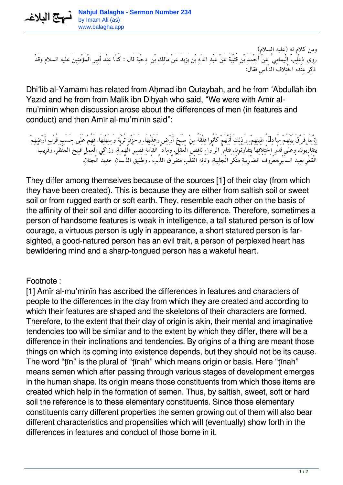

*ومن كلام له (عليه السلام) رَوَى ذِعْلَبٌ الْيَمَامِيُّ عَنْ أَحْمَدَ بْنِ قُتَيْبَةَ عَنْ عَبْدِ اللَّهِ بْنِ يَزِيدَ عَنْ مَالِكِ بْنِ دِحْيَةَ قَالَ : كُنَّا عِنْدَ أَمِيرِ الْمُؤْمنِيِنَ عليه السلام وَقَدْ ذُكِرَ عِنْدَهُ اخْتَِلافُ النَّاسِ فَقَال:َ*

Dhi'lib al-Yamāmī has related from Aḥmad ibn Qutaybah, and he from 'Abdullāh ibn Yazīd and he from from Mālik ibn Diḥyah who said, "We were with Amīr almu'minīn when discussion arose about the differences of men (in features and conduct) and then Amīr al-mu'minīn said":

*إِنَّمَا فَرَّقَ بَيْنَهُمْ مَبَادِىءُ طِينِهِم،ْ وَذلِكَ أَنَّهُمْ كَانُوا فِلْقَةً مِنْ سَبَخِ أَرْض وَعَذْبِهَا، وَحَزْنِ تُرْبَة وَسَهْلِهَا، فَهُمْ عَلَى حَسَبِ قُرْبِ أَرْضِهِمْ يَتَقَارَبُون،َ وَعَلَى قَدْرِ اخْتِلاَفِهَا يَتَفَاوَتُون،َ فَتَامُّ الرُّوَاءِ نَاقِصُ الْعَقْل،ِ وَمَادُّ الْقَامَةِ قَصِيرُ الْهِمَّة،ِ وَزَاكِي الْعَمَلِ قَبِيحُ المَنْظَر،ِ وَقَرِيبُ الْقَعْرِ بَعِيدُ السَّبْر،ِمَعْرُوفُ الضَّرِيبَةِ مُنْكَرُ الْجَلِيبَة،ِ وَتَائِهُ الْقَلْبِ مُتَفَرِّقُ اللُّبِّ، وَطَلِيقُ اللِّسَانِ حدِيدُ الْجَنَان.ِ*

They differ among themselves because of the sources [1] of their clay (from which they have been created). This is because they are either from saltish soil or sweet soil or from rugged earth or soft earth. They, resemble each other on the basis of the affinity of their soil and differ according to its difference. Therefore, sometimes a person of handsome features is weak in intelligence, a tall statured person is of low courage, a virtuous person is ugly in appearance, a short statured person is farsighted, a good-natured person has an evil trait, a person of perplexed heart has bewildering mind and a sharp-tongued person has a wakeful heart.

## Footnote :

[1] Amīr al-mu'minīn has ascribed the differences in features and characters of people to the differences in the clay from which they are created and according to which their features are shaped and the skeletons of their characters are formed. Therefore, to the extent that their clay of origin is akin, their mental and imaginative tendencies too will be similar and to the extent by which they differ, there will be a difference in their inclinations and tendencies. By origins of a thing are meant those things on which its coming into existence depends, but they should not be its cause. The word "ṭīn" is the plural of "ṭīnah" which means origin or basis. Here "ṭīnah" means semen which after passing through various stages of development emerges in the human shape. Its origin means those constituents from which those items are created which help in the formation of semen. Thus, by saltish, sweet, soft or hard soil the reference is to these elementary constituents. Since those elementary constituents carry different properties the semen growing out of them will also bear different characteristics and propensities which will (eventually) show forth in the differences in features and conduct of those borne in it.